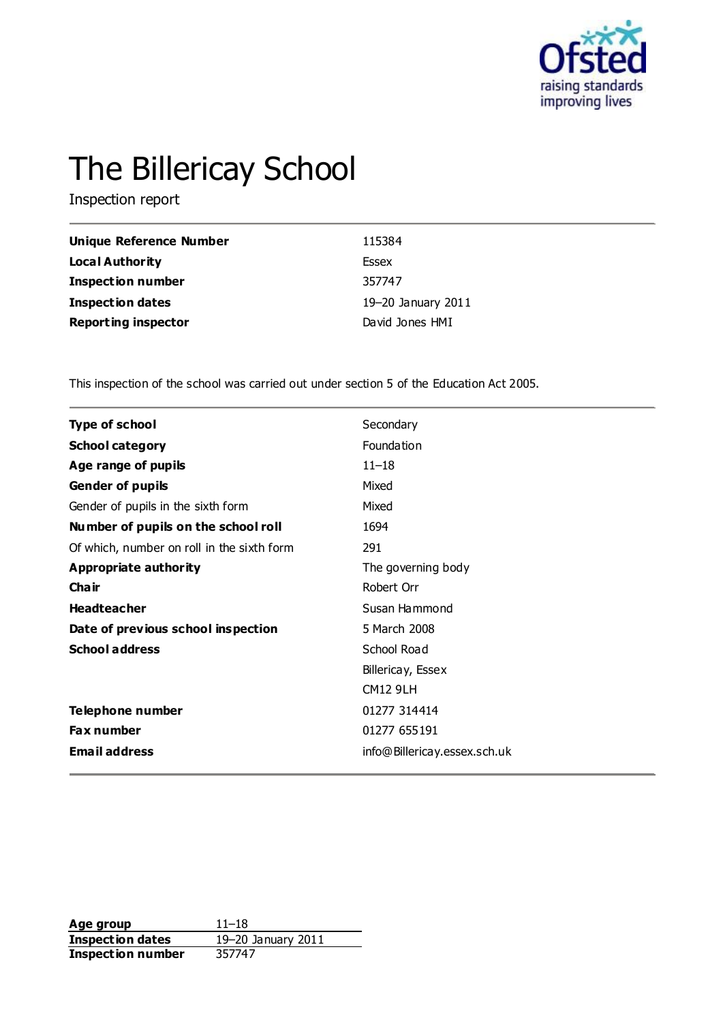

# The Billericay School

Inspection report

| Unique Reference Number    | 115384             |
|----------------------------|--------------------|
| Local Authority            | Essex              |
| <b>Inspection number</b>   | 357747             |
| Inspection dates           | 19-20 January 2011 |
| <b>Reporting inspector</b> | David Jones HMI    |

This inspection of the school was carried out under section 5 of the Education Act 2005.

| <b>Type of school</b>                      | Secondary                    |
|--------------------------------------------|------------------------------|
| <b>School category</b>                     | Foundation                   |
| Age range of pupils                        | $11 - 18$                    |
| <b>Gender of pupils</b>                    | Mixed                        |
| Gender of pupils in the sixth form         | Mixed                        |
| Number of pupils on the school roll        | 1694                         |
| Of which, number on roll in the sixth form | 291                          |
| Appropriate authority                      | The governing body           |
| Cha ir                                     | Robert Orr                   |
| <b>Headteacher</b>                         | Susan Hammond                |
| Date of previous school inspection         | 5 March 2008                 |
| <b>School address</b>                      | School Road                  |
|                                            | Billericay, Essex            |
|                                            | <b>CM12 9LH</b>              |
| Telephone number                           | 01277 314414                 |
| Fax number                                 | 01277 655191                 |
| <b>Email address</b>                       | info@Billericay.essex.sch.uk |
|                                            |                              |

**Age group** 11–18 **Inspection dates** 19–20 January 2011<br> **Inspection number** 357747 **Inspection number**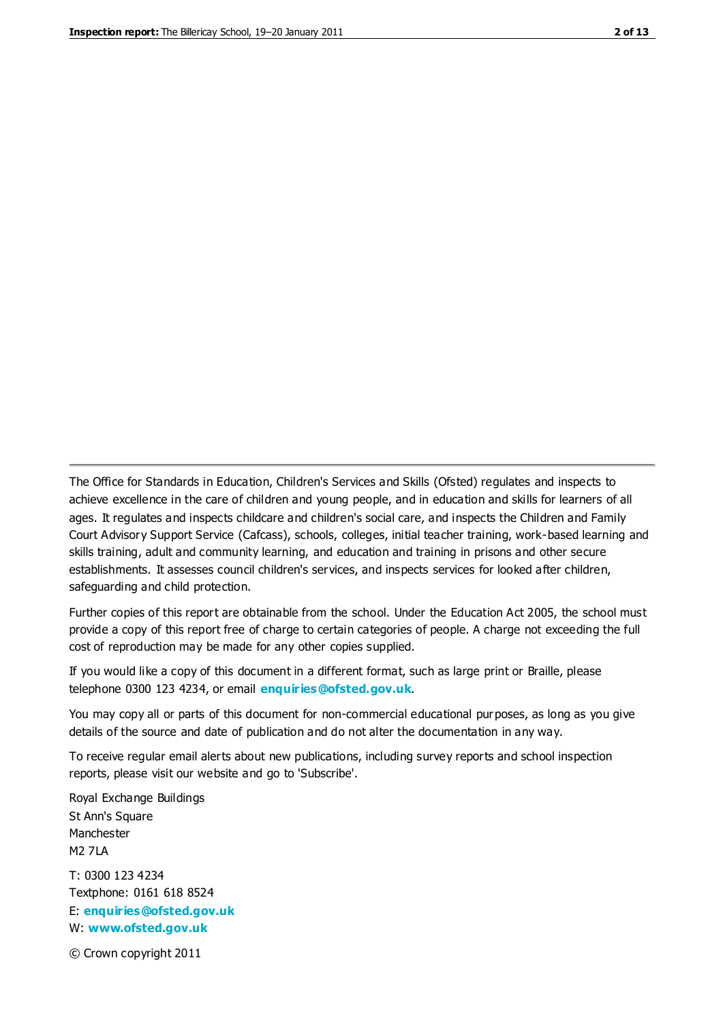The Office for Standards in Education, Children's Services and Skills (Ofsted) regulates and inspects to achieve excellence in the care of children and young people, and in education and skills for learners of all ages. It regulates and inspects childcare and children's social care, and inspects the Children and Family Court Advisory Support Service (Cafcass), schools, colleges, initial teacher training, work-based learning and skills training, adult and community learning, and education and training in prisons and other secure establishments. It assesses council children's services, and inspects services for looked after children, safeguarding and child protection.

Further copies of this report are obtainable from the school. Under the Education Act 2005, the school must provide a copy of this report free of charge to certain categories of people. A charge not exceeding the full cost of reproduction may be made for any other copies supplied.

If you would like a copy of this document in a different format, such as large print or Braille, please telephone 0300 123 4234, or email **[enquiries@ofsted.gov.uk](mailto:enquiries@ofsted.gov.uk)**.

You may copy all or parts of this document for non-commercial educational purposes, as long as you give details of the source and date of publication and do not alter the documentation in any way.

To receive regular email alerts about new publications, including survey reports and school inspection reports, please visit our website and go to 'Subscribe'.

Royal Exchange Buildings St Ann's Square Manchester M2 7LA T: 0300 123 4234 Textphone: 0161 618 8524 E: **[enquiries@ofsted.gov.uk](mailto:enquiries@ofsted.gov.uk)**

W: **[www.ofsted.gov.uk](http://www.ofsted.gov.uk/)**

© Crown copyright 2011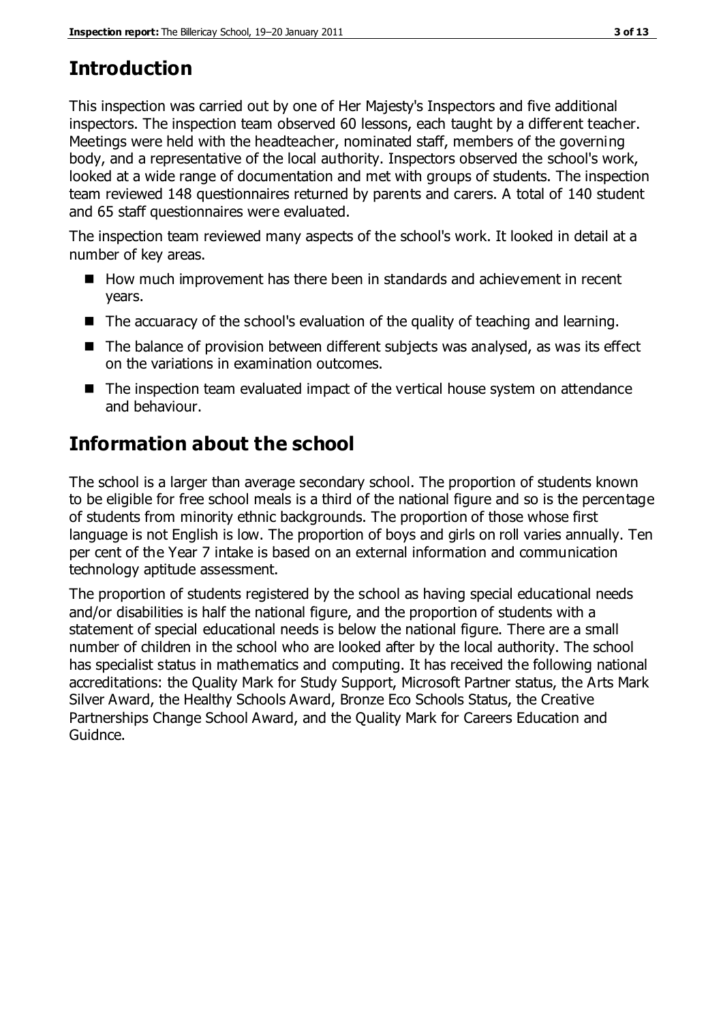# **Introduction**

This inspection was carried out by one of Her Majesty's Inspectors and five additional inspectors. The inspection team observed 60 lessons, each taught by a different teacher. Meetings were held with the headteacher, nominated staff, members of the governing body, and a representative of the local authority. Inspectors observed the school's work, looked at a wide range of documentation and met with groups of students. The inspection team reviewed 148 questionnaires returned by parents and carers. A total of 140 student and 65 staff questionnaires were evaluated.

The inspection team reviewed many aspects of the school's work. It looked in detail at a number of key areas.

- How much improvement has there been in standards and achievement in recent years.
- The accuaracy of the school's evaluation of the quality of teaching and learning.
- The balance of provision between different subjects was analysed, as was its effect on the variations in examination outcomes.
- The inspection team evaluated impact of the vertical house system on attendance and behaviour.

# **Information about the school**

The school is a larger than average secondary school. The proportion of students known to be eligible for free school meals is a third of the national figure and so is the percentage of students from minority ethnic backgrounds. The proportion of those whose first language is not English is low. The proportion of boys and girls on roll varies annually. Ten per cent of the Year 7 intake is based on an external information and communication technology aptitude assessment.

The proportion of students registered by the school as having special educational needs and/or disabilities is half the national figure, and the proportion of students with a statement of special educational needs is below the national figure. There are a small number of children in the school who are looked after by the local authority. The school has specialist status in mathematics and computing. It has received the following national accreditations: the Quality Mark for Study Support, Microsoft Partner status, the Arts Mark Silver Award, the Healthy Schools Award, Bronze Eco Schools Status, the Creative Partnerships Change School Award, and the Quality Mark for Careers Education and Guidnce.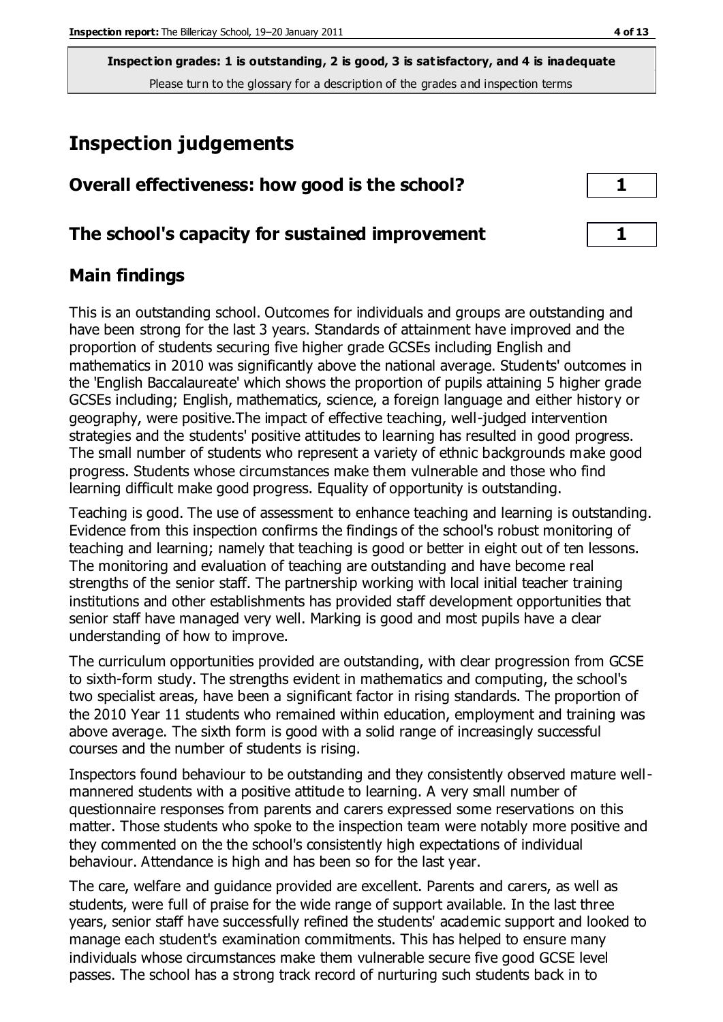# **Inspection judgements**

| Overall effectiveness: how good is the school?  |  |
|-------------------------------------------------|--|
| The school's capacity for sustained improvement |  |

# **Main findings**

This is an outstanding school. Outcomes for individuals and groups are outstanding and have been strong for the last 3 years. Standards of attainment have improved and the proportion of students securing five higher grade GCSEs including English and mathematics in 2010 was significantly above the national average. Students' outcomes in the 'English Baccalaureate' which shows the proportion of pupils attaining 5 higher grade GCSEs including; English, mathematics, science, a foreign language and either history or geography, were positive.The impact of effective teaching, well-judged intervention strategies and the students' positive attitudes to learning has resulted in good progress. The small number of students who represent a variety of ethnic backgrounds make good progress. Students whose circumstances make them vulnerable and those who find learning difficult make good progress. Equality of opportunity is outstanding.

Teaching is good. The use of assessment to enhance teaching and learning is outstanding. Evidence from this inspection confirms the findings of the school's robust monitoring of teaching and learning; namely that teaching is good or better in eight out of ten lessons. The monitoring and evaluation of teaching are outstanding and have become real strengths of the senior staff. The partnership working with local initial teacher training institutions and other establishments has provided staff development opportunities that senior staff have managed very well. Marking is good and most pupils have a clear understanding of how to improve.

The curriculum opportunities provided are outstanding, with clear progression from GCSE to sixth-form study. The strengths evident in mathematics and computing, the school's two specialist areas, have been a significant factor in rising standards. The proportion of the 2010 Year 11 students who remained within education, employment and training was above average. The sixth form is good with a solid range of increasingly successful courses and the number of students is rising.

Inspectors found behaviour to be outstanding and they consistently observed mature wellmannered students with a positive attitude to learning. A very small number of questionnaire responses from parents and carers expressed some reservations on this matter. Those students who spoke to the inspection team were notably more positive and they commented on the the school's consistently high expectations of individual behaviour. Attendance is high and has been so for the last year.

The care, welfare and guidance provided are excellent. Parents and carers, as well as students, were full of praise for the wide range of support available. In the last three years, senior staff have successfully refined the students' academic support and looked to manage each student's examination commitments. This has helped to ensure many individuals whose circumstances make them vulnerable secure five good GCSE level passes. The school has a strong track record of nurturing such students back in to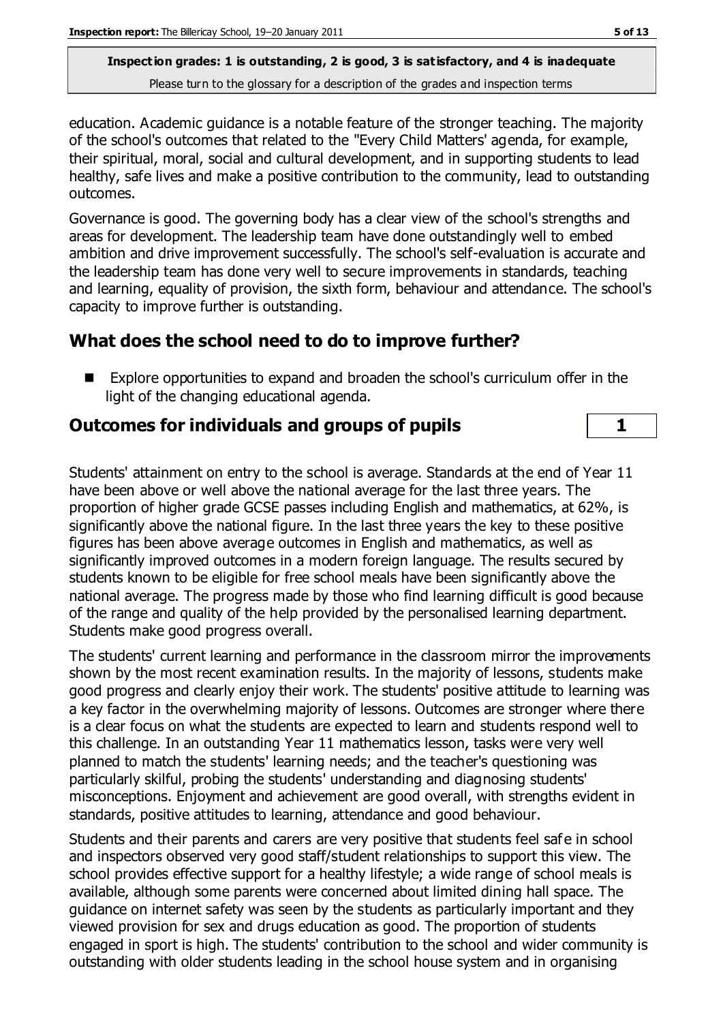education. Academic guidance is a notable feature of the stronger teaching. The majority of the school's outcomes that related to the ''Every Child Matters' agenda, for example, their spiritual, moral, social and cultural development, and in supporting students to lead healthy, safe lives and make a positive contribution to the community, lead to outstanding outcomes.

Governance is good. The governing body has a clear view of the school's strengths and areas for development. The leadership team have done outstandingly well to embed ambition and drive improvement successfully. The school's self-evaluation is accurate and the leadership team has done very well to secure improvements in standards, teaching and learning, equality of provision, the sixth form, behaviour and attendance. The school's capacity to improve further is outstanding.

# **What does the school need to do to improve further?**

 Explore opportunities to expand and broaden the school's curriculum offer in the light of the changing educational agenda.

# **Outcomes for individuals and groups of pupils 1**

Students' attainment on entry to the school is average. Standards at the end of Year 11 have been above or well above the national average for the last three years. The proportion of higher grade GCSE passes including English and mathematics, at 62%, is significantly above the national figure. In the last three years the key to these positive figures has been above average outcomes in English and mathematics, as well as significantly improved outcomes in a modern foreign language. The results secured by students known to be eligible for free school meals have been significantly above the national average. The progress made by those who find learning difficult is good because of the range and quality of the help provided by the personalised learning department. Students make good progress overall.

The students' current learning and performance in the classroom mirror the improvements shown by the most recent examination results. In the majority of lessons, students make good progress and clearly enjoy their work. The students' positive attitude to learning was a key factor in the overwhelming majority of lessons. Outcomes are stronger where there is a clear focus on what the students are expected to learn and students respond well to this challenge. In an outstanding Year 11 mathematics lesson, tasks were very well planned to match the students' learning needs; and the teacher's questioning was particularly skilful, probing the students' understanding and diagnosing students' misconceptions. Enjoyment and achievement are good overall, with strengths evident in standards, positive attitudes to learning, attendance and good behaviour.

Students and their parents and carers are very positive that students feel safe in school and inspectors observed very good staff/student relationships to support this view. The school provides effective support for a healthy lifestyle; a wide range of school meals is available, although some parents were concerned about limited dining hall space. The guidance on internet safety was seen by the students as particularly important and they viewed provision for sex and drugs education as good. The proportion of students engaged in sport is high. The students' contribution to the school and wider community is outstanding with older students leading in the school house system and in organising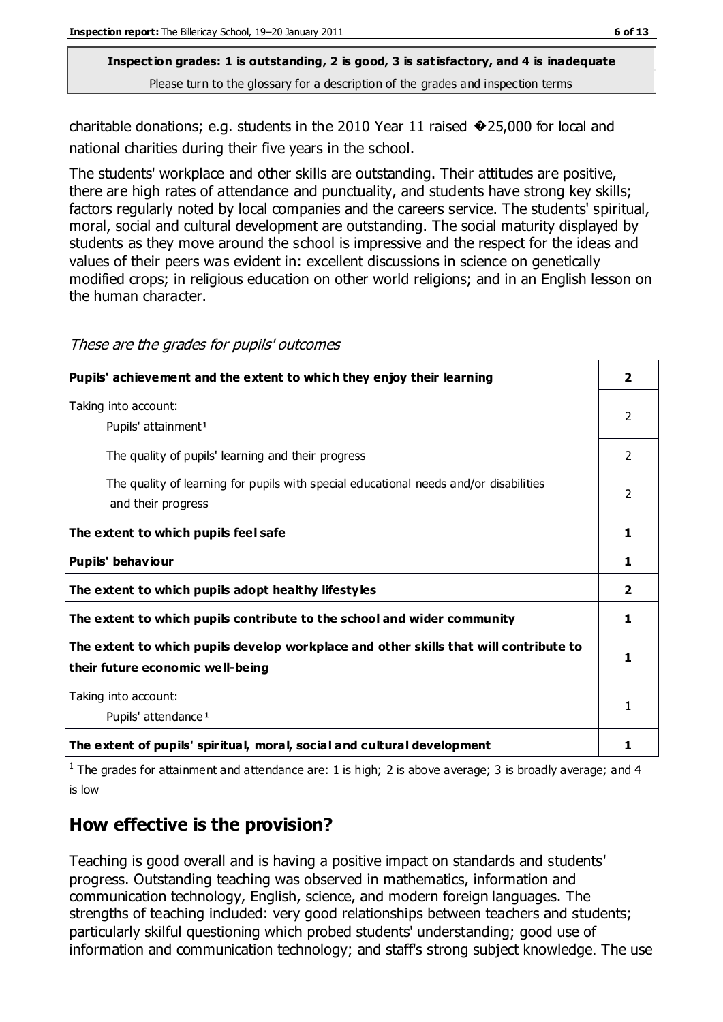charitable donations; e.g. students in the 2010 Year 11 raised �25,000 for local and national charities during their five years in the school.

The students' workplace and other skills are outstanding. Their attitudes are positive, there are high rates of attendance and punctuality, and students have strong key skills; factors regularly noted by local companies and the careers service. The students' spiritual, moral, social and cultural development are outstanding. The social maturity displayed by students as they move around the school is impressive and the respect for the ideas and values of their peers was evident in: excellent discussions in science on genetically modified crops; in religious education on other world religions; and in an English lesson on the human character.

| Pupils' achievement and the extent to which they enjoy their learning                                                     | 2                       |
|---------------------------------------------------------------------------------------------------------------------------|-------------------------|
| Taking into account:<br>Pupils' attainment <sup>1</sup>                                                                   | 2                       |
| The quality of pupils' learning and their progress                                                                        | 2                       |
| The quality of learning for pupils with special educational needs and/or disabilities<br>and their progress               | $\overline{2}$          |
| The extent to which pupils feel safe                                                                                      | 1                       |
| Pupils' behaviour                                                                                                         | 1                       |
| The extent to which pupils adopt healthy lifestyles                                                                       | $\overline{\mathbf{2}}$ |
| The extent to which pupils contribute to the school and wider community                                                   | 1                       |
| The extent to which pupils develop workplace and other skills that will contribute to<br>their future economic well-being | 1                       |
| Taking into account:<br>Pupils' attendance <sup>1</sup>                                                                   | 1                       |
| The extent of pupils' spiritual, moral, social and cultural development                                                   | 1                       |

<sup>1</sup> The grades for attainment and attendance are: 1 is high; 2 is above average; 3 is broadly average; and 4 is low

# **How effective is the provision?**

Teaching is good overall and is having a positive impact on standards and students' progress. Outstanding teaching was observed in mathematics, information and communication technology, English, science, and modern foreign languages. The strengths of teaching included: very good relationships between teachers and students; particularly skilful questioning which probed students' understanding; good use of information and communication technology; and staff's strong subject knowledge. The use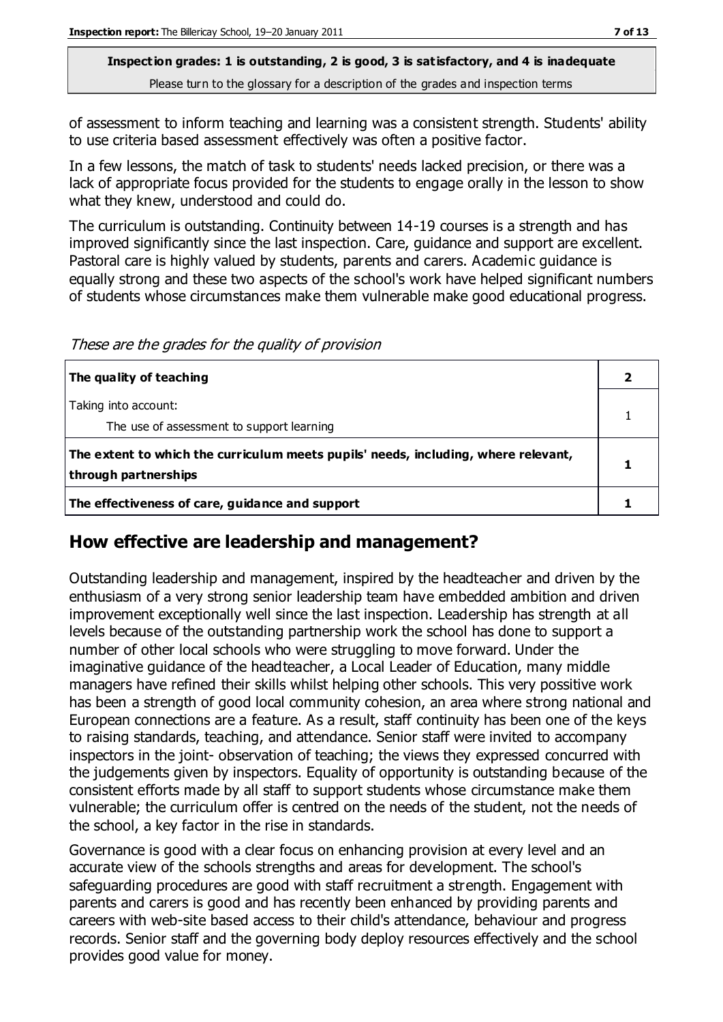of assessment to inform teaching and learning was a consistent strength. Students' ability to use criteria based assessment effectively was often a positive factor.

In a few lessons, the match of task to students' needs lacked precision, or there was a lack of appropriate focus provided for the students to engage orally in the lesson to show what they knew, understood and could do.

The curriculum is outstanding. Continuity between 14-19 courses is a strength and has improved significantly since the last inspection. Care, guidance and support are excellent. Pastoral care is highly valued by students, parents and carers. Academic guidance is equally strong and these two aspects of the school's work have helped significant numbers of students whose circumstances make them vulnerable make good educational progress.

These are the grades for the quality of provision

| The quality of teaching                                                            |  |
|------------------------------------------------------------------------------------|--|
| Taking into account:                                                               |  |
| The use of assessment to support learning                                          |  |
| The extent to which the curriculum meets pupils' needs, including, where relevant, |  |
| through partnerships                                                               |  |
| The effectiveness of care, guidance and support                                    |  |

# **How effective are leadership and management?**

Outstanding leadership and management, inspired by the headteacher and driven by the enthusiasm of a very strong senior leadership team have embedded ambition and driven improvement exceptionally well since the last inspection. Leadership has strength at all levels because of the outstanding partnership work the school has done to support a number of other local schools who were struggling to move forward. Under the imaginative guidance of the headteacher, a Local Leader of Education, many middle managers have refined their skills whilst helping other schools. This very possitive work has been a strength of good local community cohesion, an area where strong national and European connections are a feature. As a result, staff continuity has been one of the keys to raising standards, teaching, and attendance. Senior staff were invited to accompany inspectors in the joint- observation of teaching; the views they expressed concurred with the judgements given by inspectors. Equality of opportunity is outstanding because of the consistent efforts made by all staff to support students whose circumstance make them vulnerable; the curriculum offer is centred on the needs of the student, not the needs of the school, a key factor in the rise in standards.

Governance is good with a clear focus on enhancing provision at every level and an accurate view of the schools strengths and areas for development. The school's safeguarding procedures are good with staff recruitment a strength. Engagement with parents and carers is good and has recently been enhanced by providing parents and careers with web-site based access to their child's attendance, behaviour and progress records. Senior staff and the governing body deploy resources effectively and the school provides good value for money.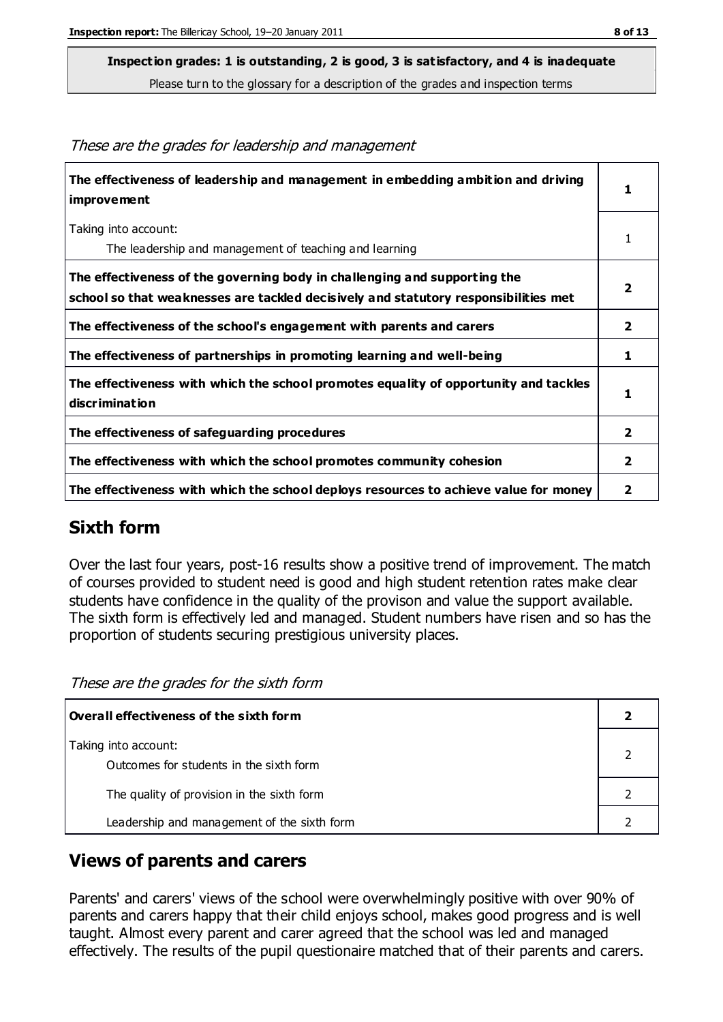**Inspection grades: 1 is outstanding, 2 is good, 3 is satisfactory, and 4 is inadequate**

Please turn to the glossary for a description of the grades and inspection terms

| roco are and grades for readership and management                                                                                                                |                         |
|------------------------------------------------------------------------------------------------------------------------------------------------------------------|-------------------------|
| The effectiveness of leadership and management in embedding ambition and driving<br><i>improvement</i>                                                           | $\mathbf{1}$            |
| Taking into account:<br>The leadership and management of teaching and learning                                                                                   | 1                       |
| The effectiveness of the governing body in challenging and supporting the<br>school so that weaknesses are tackled decisively and statutory responsibilities met | $\overline{\mathbf{2}}$ |
| The effectiveness of the school's engagement with parents and carers                                                                                             | 2                       |
| The effectiveness of partnerships in promoting learning and well-being                                                                                           | 1                       |
| The effectiveness with which the school promotes equality of opportunity and tackles<br>discrimination                                                           |                         |
| The effectiveness of safeguarding procedures                                                                                                                     | $\overline{\mathbf{2}}$ |
| The effectiveness with which the school promotes community cohesion                                                                                              | $\overline{2}$          |
| The effectiveness with which the school deploys resources to achieve value for money                                                                             |                         |

#### These are the grades for leadership and management

# **Sixth form**

Over the last four years, post-16 results show a positive trend of improvement. The match of courses provided to student need is good and high student retention rates make clear students have confidence in the quality of the provison and value the support available. The sixth form is effectively led and managed. Student numbers have risen and so has the proportion of students securing prestigious university places.

These are the grades for the sixth form

| Overall effectiveness of the sixth form                         |  |
|-----------------------------------------------------------------|--|
| Taking into account:<br>Outcomes for students in the sixth form |  |
| The quality of provision in the sixth form                      |  |
| Leadership and management of the sixth form                     |  |

#### **Views of parents and carers**

Parents' and carers' views of the school were overwhelmingly positive with over 90% of parents and carers happy that their child enjoys school, makes good progress and is well taught. Almost every parent and carer agreed that the school was led and managed effectively. The results of the pupil questionaire matched that of their parents and carers.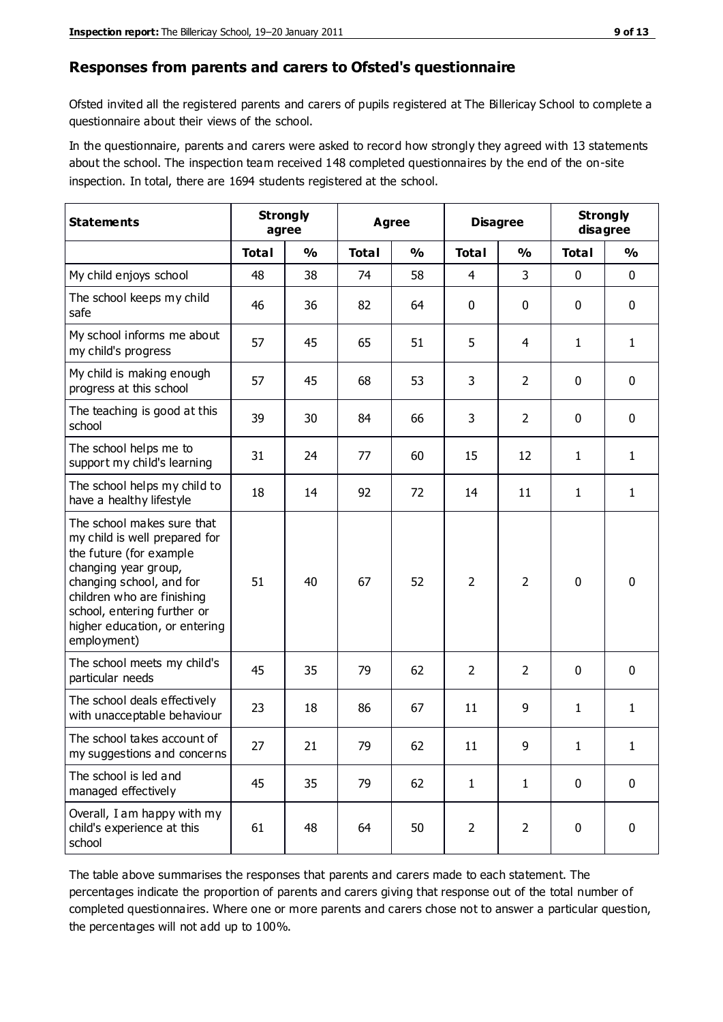#### **Responses from parents and carers to Ofsted's questionnaire**

Ofsted invited all the registered parents and carers of pupils registered at The Billericay School to complete a questionnaire about their views of the school.

In the questionnaire, parents and carers were asked to record how strongly they agreed with 13 statements about the school. The inspection team received 148 completed questionnaires by the end of the on-site inspection. In total, there are 1694 students registered at the school.

| <b>Statements</b>                                                                                                                                                                                                                                       | <b>Strongly</b><br>agree |               | Agree        |               | <b>Disagree</b> |                | <b>Strongly</b><br>disagree |               |
|---------------------------------------------------------------------------------------------------------------------------------------------------------------------------------------------------------------------------------------------------------|--------------------------|---------------|--------------|---------------|-----------------|----------------|-----------------------------|---------------|
|                                                                                                                                                                                                                                                         | <b>Total</b>             | $\frac{0}{0}$ | <b>Total</b> | $\frac{0}{0}$ | <b>Total</b>    | $\frac{0}{0}$  | <b>Total</b>                | $\frac{0}{0}$ |
| My child enjoys school                                                                                                                                                                                                                                  | 48                       | 38            | 74           | 58            | 4               | 3              | 0                           | $\mathbf 0$   |
| The school keeps my child<br>safe                                                                                                                                                                                                                       | 46                       | 36            | 82           | 64            | 0               | 0              | 0                           | $\pmb{0}$     |
| My school informs me about<br>my child's progress                                                                                                                                                                                                       | 57                       | 45            | 65           | 51            | 5               | 4              | $\mathbf{1}$                | $\mathbf{1}$  |
| My child is making enough<br>progress at this school                                                                                                                                                                                                    | 57                       | 45            | 68           | 53            | 3               | $\overline{2}$ | 0                           | $\mathbf 0$   |
| The teaching is good at this<br>school                                                                                                                                                                                                                  | 39                       | 30            | 84           | 66            | 3               | $\overline{2}$ | 0                           | $\mathbf 0$   |
| The school helps me to<br>support my child's learning                                                                                                                                                                                                   | 31                       | 24            | 77           | 60            | 15              | 12             | 1                           | $\mathbf{1}$  |
| The school helps my child to<br>have a healthy lifestyle                                                                                                                                                                                                | 18                       | 14            | 92           | 72            | 14              | 11             | 1                           | $\mathbf{1}$  |
| The school makes sure that<br>my child is well prepared for<br>the future (for example<br>changing year group,<br>changing school, and for<br>children who are finishing<br>school, entering further or<br>higher education, or entering<br>employment) | 51                       | 40            | 67           | 52            | $\overline{2}$  | 2              | $\mathbf 0$                 | $\mathbf 0$   |
| The school meets my child's<br>particular needs                                                                                                                                                                                                         | 45                       | 35            | 79           | 62            | $\overline{2}$  | $\overline{2}$ | $\mathbf{0}$                | $\mathbf 0$   |
| The school deals effectively<br>with unacceptable behaviour                                                                                                                                                                                             | 23                       | 18            | 86           | 67            | 11              | 9              | 1                           | $\mathbf{1}$  |
| The school takes account of<br>my suggestions and concerns                                                                                                                                                                                              | 27                       | 21            | 79           | 62            | 11              | 9              | 1                           | 1             |
| The school is led and<br>managed effectively                                                                                                                                                                                                            | 45                       | 35            | 79           | 62            | $\mathbf{1}$    | $\mathbf{1}$   | $\mathbf 0$                 | $\mathbf 0$   |
| Overall, I am happy with my<br>child's experience at this<br>school                                                                                                                                                                                     | 61                       | 48            | 64           | 50            | $\overline{2}$  | $\overline{2}$ | $\mathbf 0$                 | $\pmb{0}$     |

The table above summarises the responses that parents and carers made to each statement. The percentages indicate the proportion of parents and carers giving that response out of the total number of completed questionnaires. Where one or more parents and carers chose not to answer a particular question, the percentages will not add up to 100%.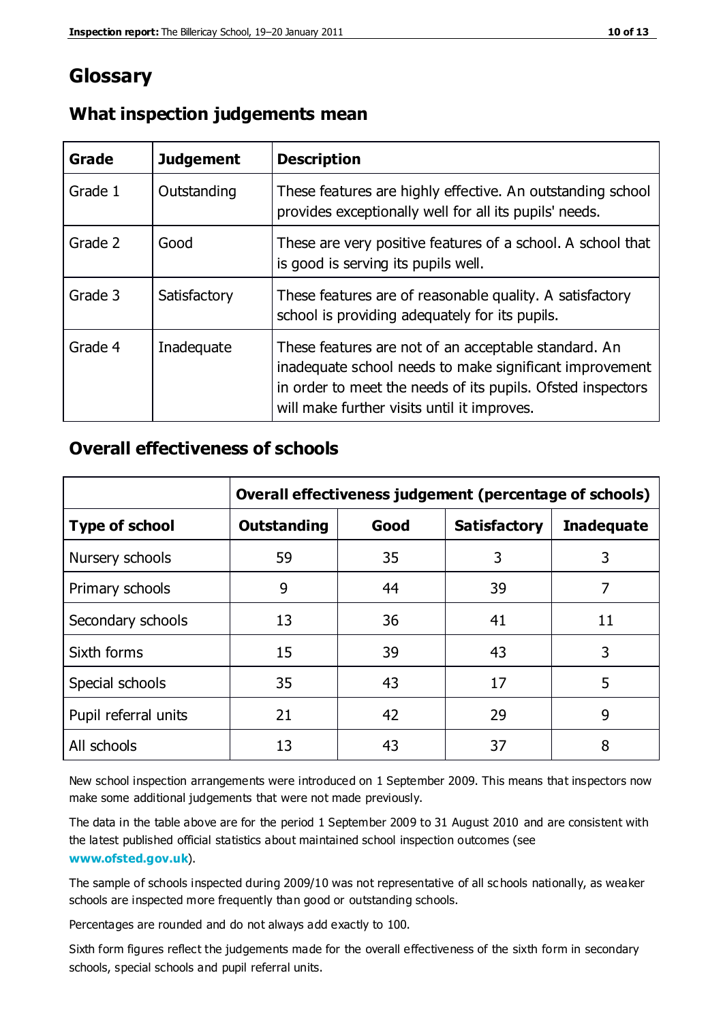# **Glossary**

| Grade   | <b>Judgement</b> | <b>Description</b>                                                                                                                                                                                                            |
|---------|------------------|-------------------------------------------------------------------------------------------------------------------------------------------------------------------------------------------------------------------------------|
| Grade 1 | Outstanding      | These features are highly effective. An outstanding school<br>provides exceptionally well for all its pupils' needs.                                                                                                          |
| Grade 2 | Good             | These are very positive features of a school. A school that<br>is good is serving its pupils well.                                                                                                                            |
| Grade 3 | Satisfactory     | These features are of reasonable quality. A satisfactory<br>school is providing adequately for its pupils.                                                                                                                    |
| Grade 4 | Inadequate       | These features are not of an acceptable standard. An<br>inadequate school needs to make significant improvement<br>in order to meet the needs of its pupils. Ofsted inspectors<br>will make further visits until it improves. |

#### **What inspection judgements mean**

#### **Overall effectiveness of schools**

|                       | Overall effectiveness judgement (percentage of schools) |      |                     |                   |
|-----------------------|---------------------------------------------------------|------|---------------------|-------------------|
| <b>Type of school</b> | <b>Outstanding</b>                                      | Good | <b>Satisfactory</b> | <b>Inadequate</b> |
| Nursery schools       | 59                                                      | 35   | 3                   | 3                 |
| Primary schools       | 9                                                       | 44   | 39                  | 7                 |
| Secondary schools     | 13                                                      | 36   | 41                  | 11                |
| Sixth forms           | 15                                                      | 39   | 43                  | 3                 |
| Special schools       | 35                                                      | 43   | 17                  | 5                 |
| Pupil referral units  | 21                                                      | 42   | 29                  | 9                 |
| All schools           | 13                                                      | 43   | 37                  | 8                 |

New school inspection arrangements were introduced on 1 September 2009. This means that inspectors now make some additional judgements that were not made previously.

The data in the table above are for the period 1 September 2009 to 31 August 2010 and are consistent with the latest published official statistics about maintained school inspection outcomes (see **[www.ofsted.gov.uk](http://www.ofsted.gov.uk/)**).

The sample of schools inspected during 2009/10 was not representative of all sc hools nationally, as weaker schools are inspected more frequently than good or outstanding schools.

Percentages are rounded and do not always add exactly to 100.

Sixth form figures reflect the judgements made for the overall effectiveness of the sixth form in secondary schools, special schools and pupil referral units.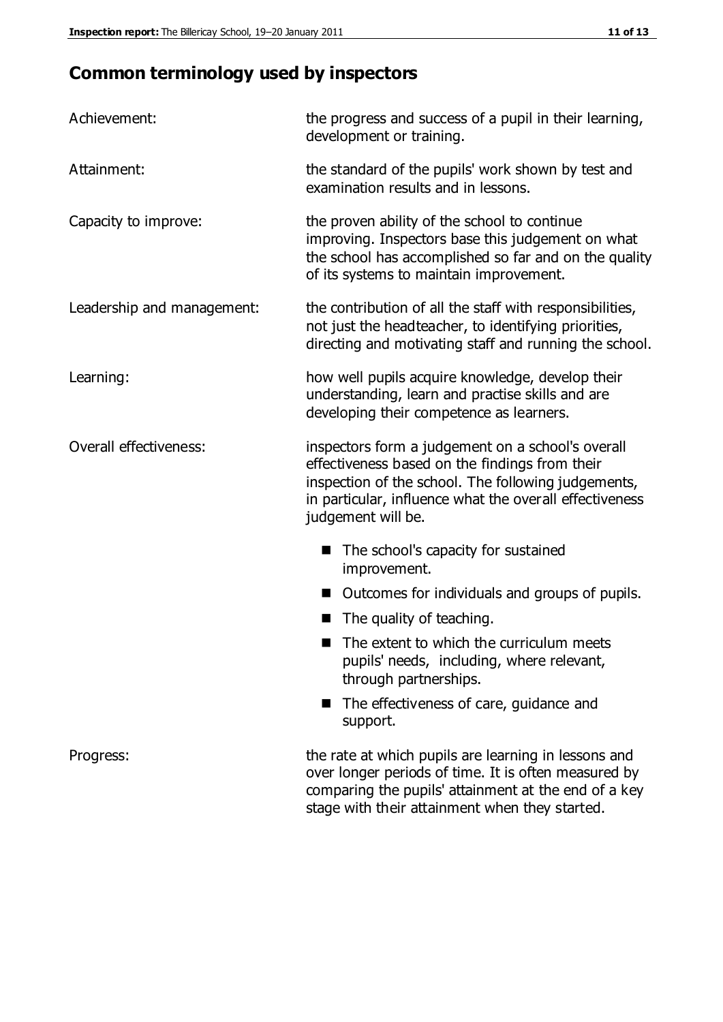# **Common terminology used by inspectors**

| Achievement:                  | the progress and success of a pupil in their learning,<br>development or training.                                                                                                                                                          |  |  |
|-------------------------------|---------------------------------------------------------------------------------------------------------------------------------------------------------------------------------------------------------------------------------------------|--|--|
| Attainment:                   | the standard of the pupils' work shown by test and<br>examination results and in lessons.                                                                                                                                                   |  |  |
| Capacity to improve:          | the proven ability of the school to continue<br>improving. Inspectors base this judgement on what<br>the school has accomplished so far and on the quality<br>of its systems to maintain improvement.                                       |  |  |
| Leadership and management:    | the contribution of all the staff with responsibilities,<br>not just the headteacher, to identifying priorities,<br>directing and motivating staff and running the school.                                                                  |  |  |
| Learning:                     | how well pupils acquire knowledge, develop their<br>understanding, learn and practise skills and are<br>developing their competence as learners.                                                                                            |  |  |
| <b>Overall effectiveness:</b> | inspectors form a judgement on a school's overall<br>effectiveness based on the findings from their<br>inspection of the school. The following judgements,<br>in particular, influence what the overall effectiveness<br>judgement will be. |  |  |
|                               | The school's capacity for sustained<br>improvement.                                                                                                                                                                                         |  |  |
|                               | Outcomes for individuals and groups of pupils.                                                                                                                                                                                              |  |  |
|                               | The quality of teaching.                                                                                                                                                                                                                    |  |  |
|                               | The extent to which the curriculum meets<br>pupils' needs, including, where relevant,<br>through partnerships.                                                                                                                              |  |  |
|                               | The effectiveness of care, guidance and<br>support.                                                                                                                                                                                         |  |  |
| Progress:                     | the rate at which pupils are learning in lessons and<br>over longer periods of time. It is often measured by<br>comparing the pupils' attainment at the end of a key                                                                        |  |  |

stage with their attainment when they started.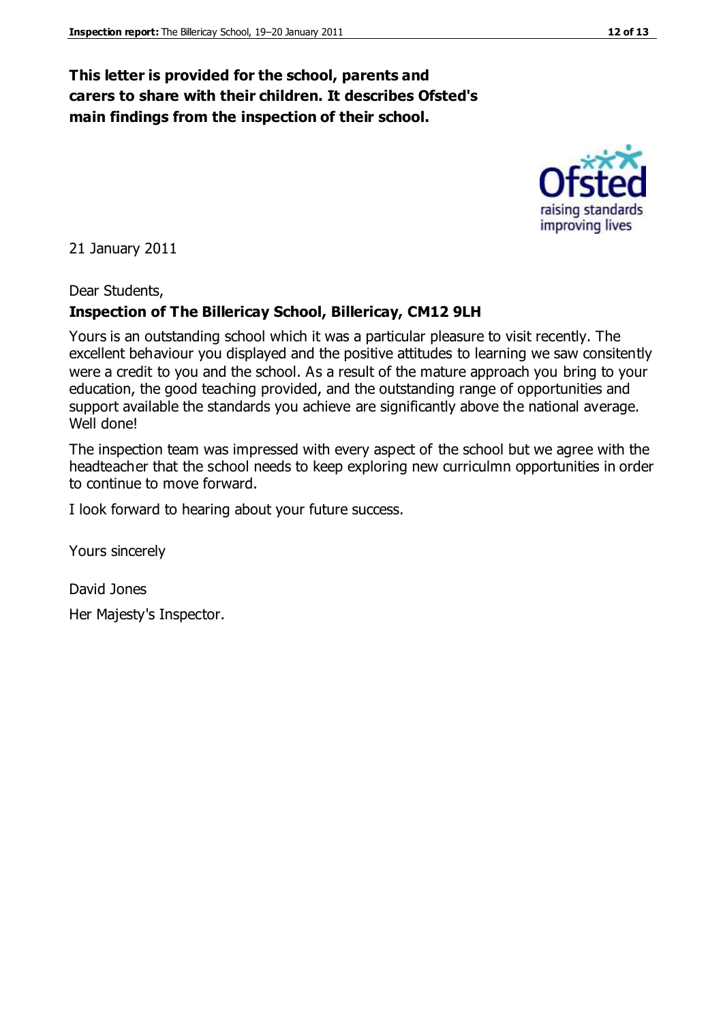### **This letter is provided for the school, parents and carers to share with their children. It describes Ofsted's main findings from the inspection of their school.**

21 January 2011

Dear Students,

#### **Inspection of The Billericay School, Billericay, CM12 9LH**

Yours is an outstanding school which it was a particular pleasure to visit recently. The excellent behaviour you displayed and the positive attitudes to learning we saw consitently were a credit to you and the school. As a result of the mature approach you bring to your education, the good teaching provided, and the outstanding range of opportunities and support available the standards you achieve are significantly above the national average. Well done!

The inspection team was impressed with every aspect of the school but we agree with the headteacher that the school needs to keep exploring new curriculmn opportunities in order to continue to move forward.

I look forward to hearing about your future success.

Yours sincerely

David Jones Her Majesty's Inspector.